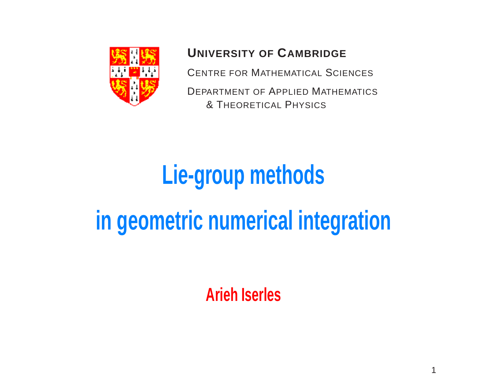

# **UNIVERSITY OF CAMBRIDGE**

CENTRE FOR MATHEMATICAL SCIENCES

DEPARTMENT OF APPLIED MATHEMATICS & THEORETICAL PHYSICS

# **Lie-group methods in geometric numerical integration**

**Arieh Iserles**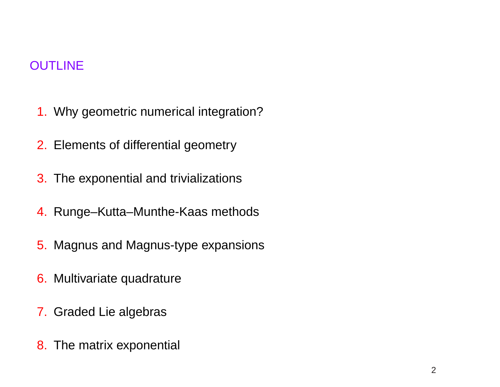# **OUTLINE**

- 1. Why geometric numerical integration?
- 2. Elements of differential geometry
- 3. The exponential and trivializations
- 4. Runge–Kutta–Munthe-Kaas methods
- 5. Magnus and Magnus-type expansions
- 6. Multivariate quadrature
- 7. Graded Lie algebras
- 8. The matrix exponential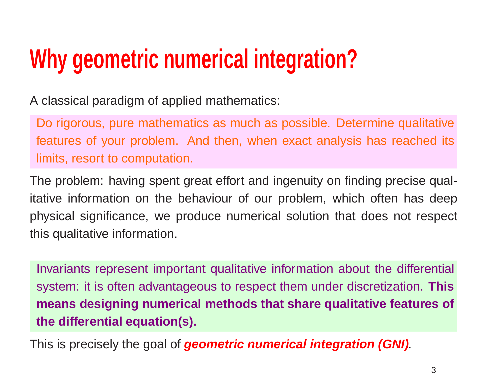# **Why geometric numerical integration?**

A classical paradigm of applied mathematics:

Do rigorous, pure mathematics as much as possible. Determine qualitative features of your problem. And then, when exact analysis has reached its limits, resort to computation.

The problem: having spent great effort and ingenuity on finding precise qualitative information on the behaviour of our problem, which often has deep physical significance, we produce numerical solution that does not respect this qualitative information.

Invariants represent important qualitative information about the differential system: it is often advantageous to respect them under discretization. **This means designing numerical methods that share qualitative features of the differential equation(s).**

This is precisely the goal of **geometric numerical integration (GNI)**.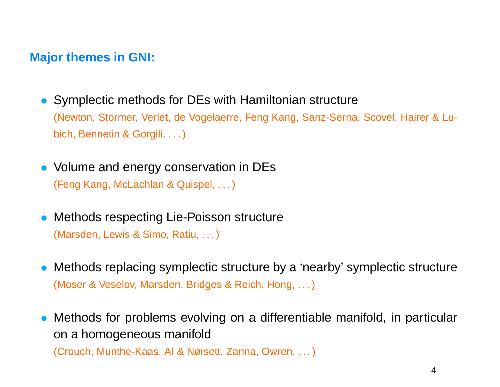### **Major themes in GNI:**

- Symplectic methods for DEs with Hamiltonian structure (Newton, Störmer, Verlet, de Vogelaerre, Feng Kang, Sanz-Serna, Scovel, Hairer & Lubich, Bennetin & Gorgili, . . . )
- Volume and energy conservation in DEs (Feng Kang, McLachlan & Quispel, . . . )
- Methods respecting Lie-Poisson structure (Marsden, Lewis & Simo, Ratiu, . . . )
- Methods replacing symplectic structure by <sup>a</sup> 'nearby' symplectic structure (Moser & Veselov, Marsden, Bridges & Reich, Hong, . . . )
- Methods for problems evolving on <sup>a</sup> differentiable manifold, in particular on <sup>a</sup> homogeneous manifold

(Crouch, Munthe-Kaas, AI & Nørsett, Zanna, Owren, . . . )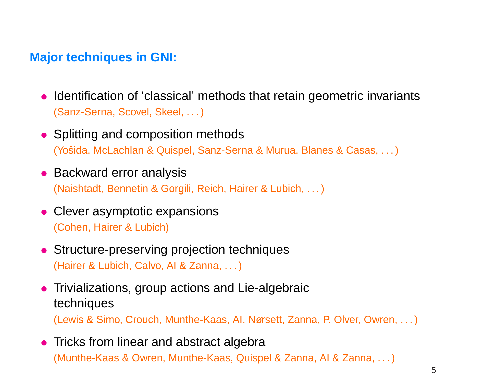# **Major techniques in GNI:**

- Identification of 'classical' methods that retain geometric invariants (Sanz-Serna, Scovel, Skeel, . . . )
- Splitting and composition methods (Yošida, McLachlan & Quispel, Sanz-Serna & Murua, Blanes & Casas, ...)
- Backward error analysis (Naishtadt, Bennetin & Gorgili, Reich, Hairer & Lubich, . . .)
- Clever asymptotic expansions (Cohen, Hairer & Lubich)
- Structure-preserving projection techniques (Hairer & Lubich, Calvo, AI & Zanna, . . . )
- Trivializations, group actions and Lie-algebraic techniques

(Lewis & Simo, Crouch, Munthe-Kaas, AI, Nørsett, Zanna, P. Olver, Owren, . . . )

• Tricks from linear and abstract algebra (Munthe-Kaas & Owren, Munthe-Kaas, Quispel & Zanna, AI & Zanna, . . . )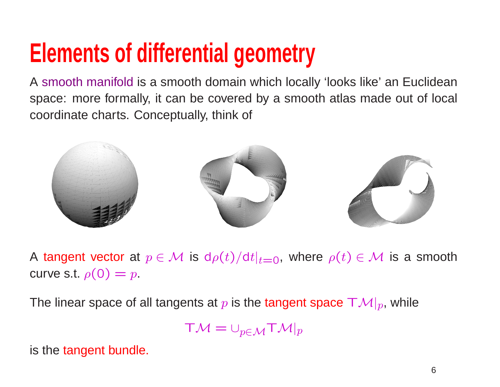# **Elements of differential geometry**

A smooth manifold is <sup>a</sup> smooth domain which locally 'looks like' an Euclidean space: more formally, it can be covered by <sup>a</sup> smooth atlas made out of local coordinate charts. Conceptually, think of



A tangent vector at  $p \in \mathcal{M}$  is  $\mathsf{d}\rho(t)/\mathsf{d}t|_{t=0}$ , where  $\rho(t) \in \mathcal{M}$  is a smooth curve s.t.  $\rho(0) = p$ .

The linear space of all tangents at  $p$  is the tangent space  $\boldsymbol{\mathsf{TM}}|_p$ , while

$$
\mathsf{T}\mathcal{M}=\cup_{p\in\mathcal{M}}\mathsf{T}\mathcal{M}|_p
$$

is the tangent bundle.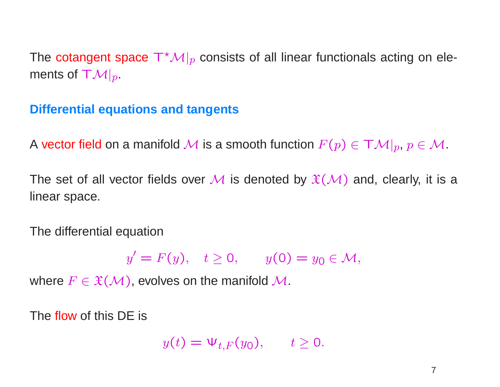The cotangent space  $T^{\star}\mathcal{M}|_{p}$  consists of all linear functionals acting on elements of  $T\mathcal{M}|_{p}$ .

#### **Differential equations and tangents**

A vector field on a manifold M is a smooth function  $F(p) \in TM|_p, p \in M$ .

The set of all vector fields over M is denoted by  $\mathfrak{X}(\mathcal{M})$  and, clearly, it is a linear space.

The differential equation

 $y' = F(y), \quad t \ge 0, \qquad y(0) = y_0 \in \mathcal{M},$ 

where  $F \in \mathfrak{X}(\mathcal{M})$ , evolves on the manifold  $\mathcal{M}$ .

The flow of this DE is

$$
y(t) = \Psi_{t,F}(y_0), \qquad t \ge 0.
$$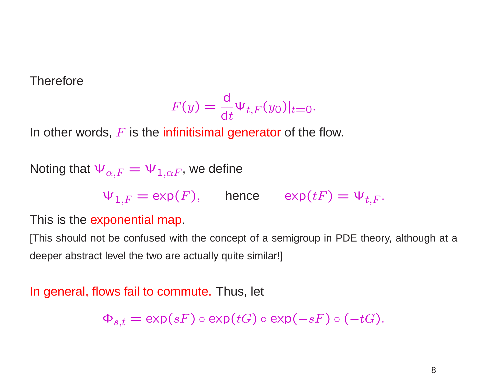**Therefore** 

$$
F(y) = \frac{\mathrm{d}}{\mathrm{d}t} \Psi_{t,F}(y_0)|_{t=0}.
$$

In other words,  $F$  is the infinitisimal generator of the flow.

Noting that  $\Psi_{\alpha,F} = \Psi_{1,\alpha F}$ , we define

 $\Psi_{1,F} = \exp(F)$ , hence  $\exp(tF) = \Psi_{t,F}$ .

This is the exponential map.

[This should not be confused with the concept of <sup>a</sup> semigroup in PDE theory, although at <sup>a</sup> deeper abstract level the two are actually quite similar!]

#### In general, flows fail to commute. Thus, let

 $\Phi_{s,t} = \exp(sF) \circ \exp(tG) \circ \exp(-sF) \circ (-tG).$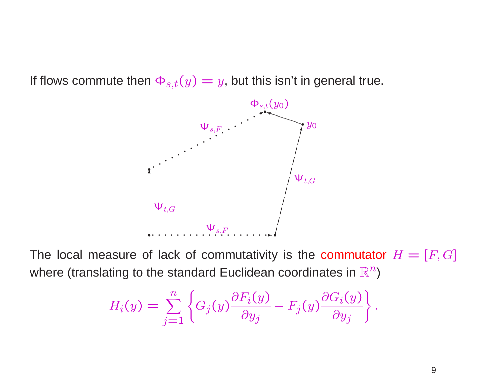If flows commute then  $\Phi_{s,t}(y) = y$ , but this isn't in general true.



The local measure of lack of commutativity is the commutator  $H = [F, G]$ where (translating to the standard Euclidean coordinates in  $\mathbb{R}^n$ )

$$
H_i(y) = \sum_{j=1}^n \left\{ G_j(y) \frac{\partial F_i(y)}{\partial y_j} - F_j(y) \frac{\partial G_i(y)}{\partial y_j} \right\}.
$$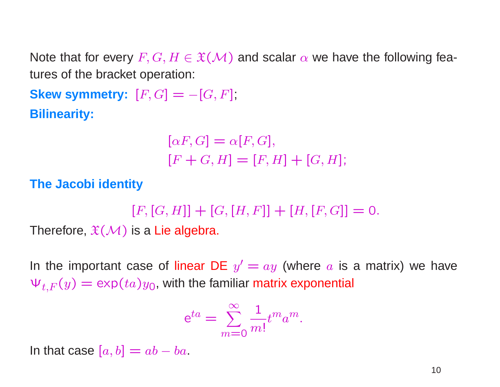Note that for every  $F, G, H \in \mathfrak{X}(\mathcal{M})$  and scalar  $\alpha$  we have the following features of the bracket operation:

**Skew symmetry:**  $[F, G] = -[G, F]$ ; **Bilinearity:**

$$
[\alpha F, G] = \alpha [F, G],
$$
  

$$
[F + G, H] = [F, H] + [G, H];
$$

**The Jacobi identity**

 $[F, [G, H]] + [G, [H, F]] + [H, [F, G]] = 0.$ 

Therefore,  $\mathfrak{X}(\mathcal{M})$  is a Lie algebra.

In the important case of linear DE  $y' = ay$  (where a is a matrix) we have  $\Psi_{t,F}(y) = \exp(ta)y_0$ , with the familiar matrix exponential

$$
e^{ta} = \sum_{m=0}^{\infty} \frac{1}{m!} t^m a^m.
$$

In that case  $[a, b] = ab - ba$ .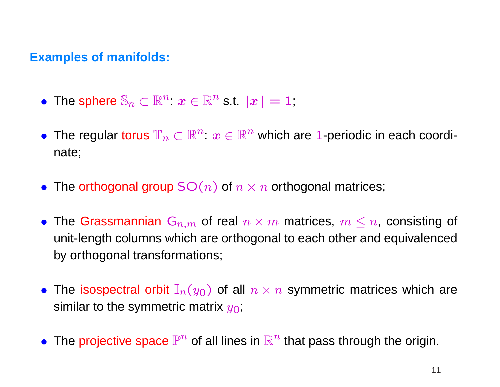### **Examples of manifolds:**

- The sphere  $\mathbb{S}_n\subset \mathbb{R}^n$ :  $\boldsymbol{x}\in \mathbb{R}^n$  s.t.  $\|\boldsymbol{x}\|=1$ ;
- The regular torus  $\mathbb{T}_n\subset \mathbb{R}^n$ :  $x\in \mathbb{R}^n$  which are 1-periodic in each coordinate;
- The orthogonal group  $SO(n)$  of  $n \times n$  orthogonal matrices;
- The Grassmannian  $G_{n,m}$  of real  $n \times m$  matrices,  $m \leq n$ , consisting of unit-length columns which are orthogonal to each other and equivalenced by orthogonal transformations;
- The isospectral orbit  $\mathbb{I}_n(y_0)$  of all  $n \times n$  symmetric matrices which are similar to the symmetric matrix  $y_0$ ;
- The projective space  $\mathbb{P}^n$  of all lines in  $\mathbb{R}^n$  that pass through the origin.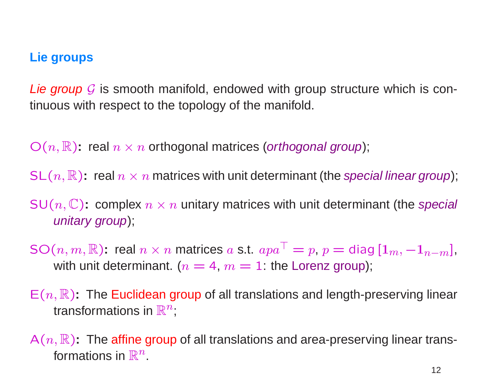### **Lie groups**

*Lie group*  ${\mathcal G}$  is smooth manifold, endowed with group structure which is continuous with respect to the topology of the manifold.

 $\mathrm{O}(n,\mathbb{R})$ : real  $n\times n$  orthogonal matrices (*orthogonal group*);

SL $(n,\mathbb{R})$ : real  $n\times n$  matrices with unit determinant (the *special linear group*);

SU $(n,\mathbb{C})$ : complex  $n\times n$  unitary matrices with unit determinant (the special unitary group);

SO $(n,m,\mathbb{R})$ : real  $n\times n$  matrices  $a$  s.t.  $apa^\top = p,$   $p =$  diag  $[1_m,-1_{n-m}],$ with unit determinant. ( $n = 4$ ,  $m = 1$ : the Lorenz group);

- $\mathsf{E}(n,\mathbb{R})$ : The Euclidean group of all translations and length-preserving linear transformations in  $\mathbb{R}^n$ ;
- $\mathsf{A}(n,\mathbb{R})$ : The affine group of all translations and area-preserving linear transformations in  $\mathbb{R}^n$ .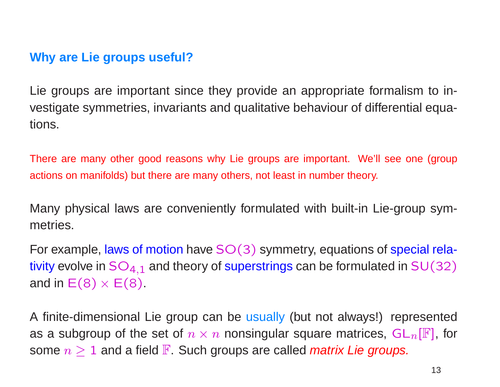# **Why are Lie groups useful?**

Lie groups are important since they provide an appropriate formalism to investigate symmetries, invariants and qualitative behaviour of differential equations.

There are many other good reasons why Lie groups are important. We'll see one (group actions on manifolds) but there are many others, not least in number theory.

Many physical laws are conveniently formulated with built-in Lie-group symmetries.

For example, laws of motion have  $SO(3)$  symmetry, equations of special relativity evolve in  $SO_{4,1}$  and theory of superstrings can be formulated in  $SU(32)$ and in  $E(8) \times E(8)$ .

A finite-dimensional Lie group can be usually (but not always!) represented as a subgroup of the set of  $n \times n$  nonsingular square matrices,  $GL_n[\mathbb{F}]$ , for some  $n \geq 1$  and a field  $\mathbb F$ . Such groups are called *matrix Lie groups.*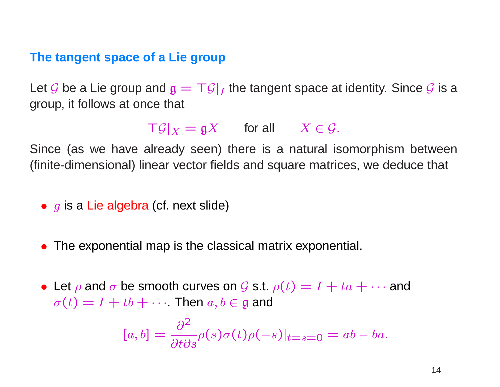#### **The tangent space of <sup>a</sup> Lie group**

Let  ${\mathcal G}$  be a Lie group and  ${\mathfrak g} = {\mathsf T} {\mathcal G}|_I$  the tangent space at identity. Since  ${\mathcal G}$  is a group, it follows at once that

 $\bigcap g|_X = \mathfrak{g} X$  for all  $X \in \mathcal{G}$ .

Since (as we have already seen) there is <sup>a</sup> natural isomorphism between (finite-dimensional) linear vector fields and square matrices, we deduce that

- $\bullet\,$   $g$  is a Lie algebra (cf. next slide)
- The exponential map is the classical matrix exponential.
- Let  $\rho$  and  $\sigma$  be smooth curves on  $\mathcal G$  s.t.  $\rho(t) = I + ta + \cdots$  and  $\sigma(t) = I + tb + \cdots$  Then  $a, b \in \mathfrak{g}$  and

$$
[a, b] = \frac{\partial^2}{\partial t \partial s} \rho(s) \sigma(t) \rho(-s)|_{t=s=0} = ab - ba.
$$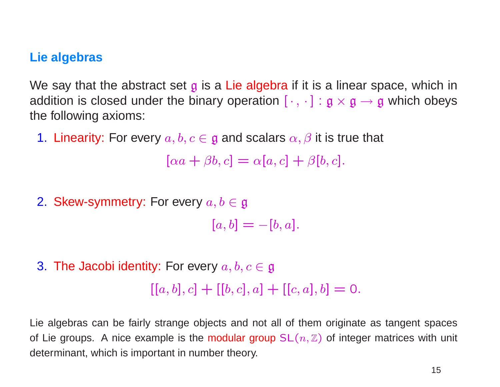#### **Lie algebras**

We say that the abstract set  $\mathfrak g$  is a Lie algebra if it is a linear space, which in addition is closed under the binary operation  $[\cdot, \cdot] : \mathfrak{g} \times \mathfrak{g} \to \mathfrak{g}$  which obeys the following axioms:

1. Linearity: For every  $a, b, c \in \mathfrak{g}$  and scalars  $\alpha, \beta$  it is true that

 $[\alpha a + \beta b, c] = \alpha [a, c] + \beta [b, c].$ 

2. Skew-symmetry: For every  $a, b \in \mathfrak{g}$ 

$$
[a, b] = -[b, a].
$$

3. The Jacobi identity: For every  $a, b, c \in \mathfrak{g}$  $[[a, b], c] + [[b, c], a] + [[c, a], b] = 0.$ 

Lie algebras can be fairly strange objects and not all of them originate as tangent spaces of Lie groups. A nice example is the modular group  $SL(n, \mathbb{Z})$  of integer matrices with unit determinant, which is important in number theory.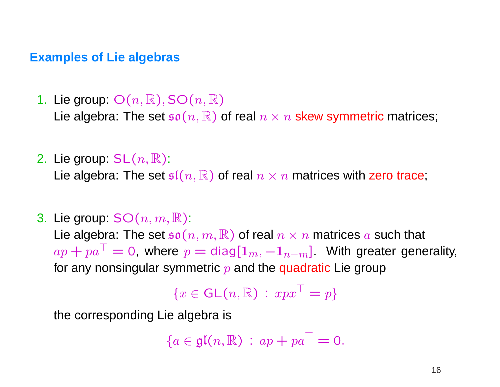### **Examples of Lie algebras**

- 1. Lie group:  $O(n,\mathbb{R}), SO(n,\mathbb{R})$ Lie algebra: The set  $\mathfrak{so}(n,\mathbb{R})$  of real  $n \times n$  skew symmetric matrices;
- 2. Lie group:  $SL(n, \mathbb{R})$ : Lie algebra: The set  $\mathfrak{sl}(n,\mathbb{R})$  of real  $n \times n$  matrices with zero trace;
- 3. Lie group:  $SO(n, m, \mathbb{R})$ :

Lie algebra: The set  $\mathfrak{so}(n,m,\mathbb{R})$  of real  $n \times n$  matrices a such that  $ap + pa^{\top} = 0$ , where  $p = \text{diag}[1_m, -1_{n-m}]$ . With greater generality, for any nonsingular symmetric  $p$  and the quadratic Lie group

$$
\{x \in \mathsf{GL}(n,\mathbb{R}) \,:\, xpx^\top = p\}
$$

the corresponding Lie algebra is

$$
\{a\in\mathfrak{gl}(n,\mathbb{R})\,:\,ap+pa^\top=0.
$$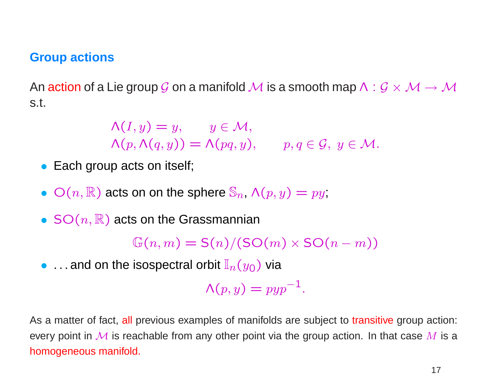### **Group actions**

An action of a Lie group G on a manifold M is a smooth map  $\Lambda: \mathcal{G} \times \mathcal{M} \rightarrow \mathcal{M}$ s.t.

$$
\Lambda(I, y) = y, \qquad y \in \mathcal{M},
$$
  
\n
$$
\Lambda(p, \Lambda(q, y)) = \Lambda(pq, y), \qquad p, q \in \mathcal{G}, y \in \mathcal{M}.
$$

- Each group acts on itself;
- $O(n,\mathbb{R})$  acts on on the sphere  $\mathbb{S}_n$ ,  $\Lambda(p,y) = py$ ;
- $SO(n,\mathbb{R})$  acts on the Grassmannian

 $\mathbb{G}(n,m) = \mathsf{S}(n)/(\mathsf{SO}(m) \times \mathsf{SO}(n-m))$ 

• . . . and on the isospectral orbit  $\mathbb{I}_n(y_0)$  via

 $\Lambda(p, y) = p y p^{-1}.$ 

As <sup>a</sup> matter of fact, all previous examples of manifolds are subject to transitive group action: every point in M is reachable from any other point via the group action. In that case M is a homogeneous manifold.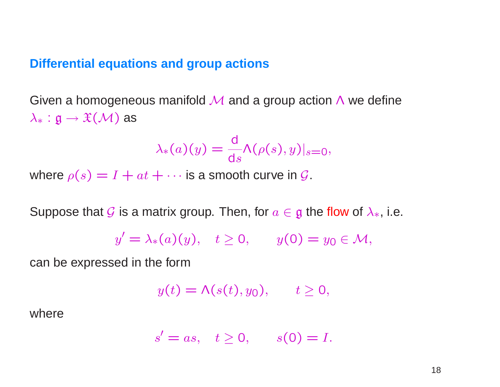#### **Differential equations and group actions**

Given a homogeneous manifold  $\overline{\mathcal{M}}$  and a group action  $\Lambda$  we define  $\lambda_* : \mathfrak{g} \to \mathfrak{X}(\mathcal{M})$  as

$$
\lambda_*(a)(y) = \frac{d}{ds} \Lambda(\rho(s), y)|_{s=0},
$$

where  $\rho(s) = I + at + \cdots$  is a smooth curve in  $\mathcal{G}_s$ .

Suppose that  $\mathcal G$  is a matrix group. Then, for  $a\in \mathfrak g$  the flow of  $\lambda_*$ , i.e.

$$
y' = \lambda_*(a)(y), \quad t \ge 0, \qquad y(0) = y_0 \in \mathcal{M},
$$

can be expressed in the form

$$
y(t) = \Lambda(s(t), y_0), \qquad t \ge 0,
$$

where

$$
s' = as, \quad t \ge 0, \qquad s(0) = I.
$$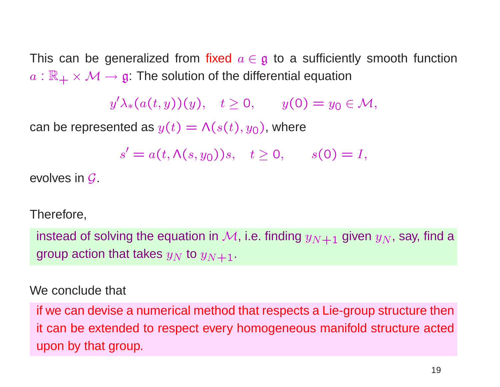This can be generalized from fixed  $a \in \mathfrak{g}$  to a sufficiently smooth function  $a:\mathbb{R}_+\times \mathcal{M}\to \mathfrak{g}$ . The solution of the differential equation

 $y'\lambda_*(a(t,y))(y), \quad t \ge 0, \qquad y(0) = y_0 \in \mathcal{M},$ 

can be represented as  $y(t) = \Lambda(s(t), y_0)$ , where

 $s' = a(t, \Lambda(s, y_0))s, \quad t \ge 0, \quad s(0) = I,$ 

evolves in G.

#### Therefore,

instead of solving the equation in  $\mathcal{M}$ , i.e. finding  $y_{N+1}$  given  $y_N$ , say, find a group action that takes  $y_N$  to  $y_{N+1}$ .

#### We conclude that

if we can devise <sup>a</sup> numerical method that respects <sup>a</sup> Lie-group structure then it can be extended to respect every homogeneous manifold structure acted upon by that group.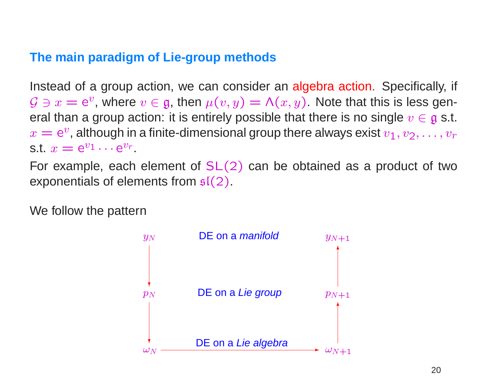# **The main paradigm of Lie-group methods**

Instead of <sup>a</sup> group action, we can consider an algebra action. Specifically, if  $\mathcal{G} \ni x = \mathsf{e}^v$ , where  $v \in \mathfrak{g}$ , then  $\mu(v,y) = \mathsf{\Lambda}(x,y).$  Note that this is less general than a group action: it is entirely possible that there is no single  $v\in \mathfrak{g}$  s.t.  $x = \mathrm{e}^v$ , although in a finite-dimensional group there always exist  $v_1, v_2, \ldots, v_r$ st  $x = e^{v_1} \cdots e^{v_r}$ 

For example, each element of  $SL(2)$  can be obtained as a product of two exponentials of elements from  $\mathfrak{sl}(2)$ .

We follow the pattern

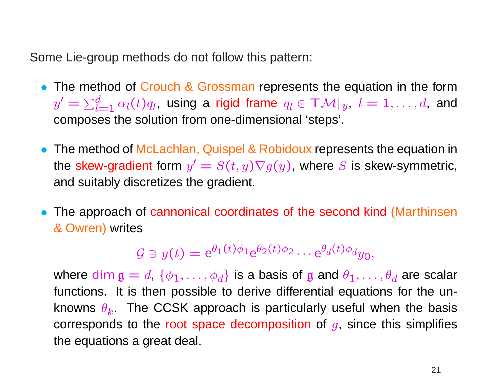Some Lie-group methods do not follow this pattern:

- The method of Crouch & Grossman represents the equation in the form The file  $d\,$  $\mathbb{Z}_{l=1}^{d}\, \alpha_l(t) q_l$ , using a rigid frame  $q_l\in \mathsf{T}\mathcal{M}|_y,\; l=1,\ldots,d,$  and composes the solution from one-dimensional 'steps'.
- The method of McLachlan, Quispel & Robidoux represents the equation in the skew-gradient form  $y' = S(t,y) \nabla g(y)$ , where  $S$  is skew-symmetric, and suitably discretizes the gradient.
- The approach of cannonical coordinates of the second kind (Marthinsen & Owren) writes

$$
\mathcal{G} \ni y(t) = e^{\theta_1(t)\phi_1} e^{\theta_2(t)\phi_2} \cdots e^{\theta_d(t)\phi_d} y_0,
$$

where  $\dim \mathfrak{g}=d, \ \{\phi_1, \ldots, \phi_d\}$  is a basis of  $\mathfrak g$  and  $\theta_1, \ldots, \theta_d$  are scalar functions. It is then possible to derive differential equations for the unknowns  $\theta_k$ . The CCSK approach is particularly useful when the basis corresponds to the root space decomposition of  $g$ , since this simplifies the equations <sup>a</sup> great deal.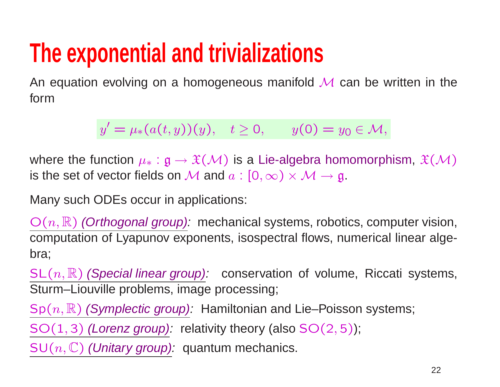# **The exponential and trivializations**

An equation evolving on a homogeneous manifold  $\overline{\mathcal{M}}$  can be written in the form

 $y' = \mu_*(a(t, y))(y), \quad t \ge 0, \qquad y(0) = y_0 \in \mathcal{M},$ 

where the function  $\mu_* : \mathfrak{g} \to \mathfrak{X}(\mathcal{M})$  is a Lie-algebra homomorphism,  $\mathfrak{X}(\mathcal{M})$ is the set of vector fields on M and  $a: [0,\infty) \times M \rightarrow \mathfrak{g}$ .

Many such ODEs occur in applications:

 $\mathrm{O}(n,\mathbb{R})$  *(Orthogonal group):* mechanical systems, robotics, computer vision, computation of Lyapunov exponents, isospectral flows, numerical linear algebra;

 $\mathsf{SL}(n,\mathbb{R})$  (Special linear group): conservation of volume, Riccati systems, Sturm–Liouville problems, image processing;

Sp $(n,\mathbb{R})$  *(Symplectic group):* Hamiltonian and Lie–Poisson systems;

 $SO(1, 3)$  (Lorenz group): relativity theory (also  $SO(2, 5)$ );

 $\mathsf{SU}(n,\mathbb{C})$  *(Unitary group):* <code> quantum</code> mechanics.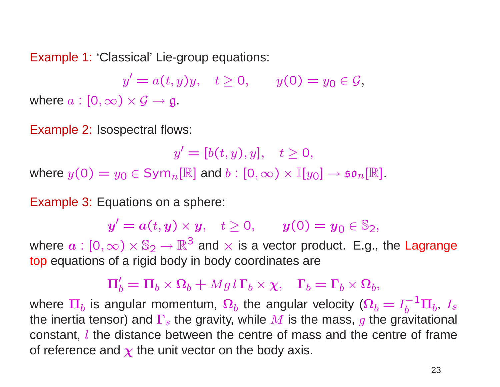Example 1: 'Classical' Lie-group equations:

 $y' = a(t, y)y, \quad t \ge 0, \qquad y(0) = y_0 \in \mathcal{G},$ where  $a : [0, \infty) \times \mathcal{G} \rightarrow \mathfrak{g}$ .

Example 2: Isospectral flows:

 $y' = [b(t, y), y], \quad t \geq 0,$ where  $y(0) = y_0 \in \text{Sym}_n[\mathbb{R}]$  and  $b : [0, \infty) \times \mathbb{I}[y_0] \to \mathfrak{so}_n[\mathbb{R}]$ .

Example 3: Equations on <sup>a</sup> sphere:

 $y'=a(t,y)\times y, \quad t\geq 0, \qquad y(0)=y_0\in \mathbb{S}_2,$ 

where  $a : [0, \infty) \times \mathbb{S}_2 \to \mathbb{R}^3$  and  $\times$  is a vector product. E.g., the Lagrange top equations of <sup>a</sup> rigid body in body coordinates are

 $\Pi'_{b} = \Pi_{b} \times \Omega_{b} + Mgl \Gamma_{b} \times \chi$ ,  $\Gamma_{b} = \Gamma_{b} \times \Omega_{b}$ ,

where  $\Pi_b$  is angular momentum,  $\Omega_b$  the angular velocity ( $\Omega_b = I_b^{-1} \Pi_b$ ,  $I_s$ the inertia tensor) and  $\Gamma_s$  the gravity, while M is the mass, g the gravitational constant, l the distance between the centre of mass and the centre of frame of reference and  $\chi$  the unit vector on the body axis.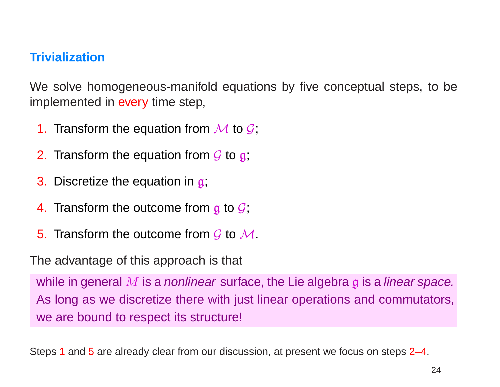# **Trivialization**

We solve homogeneous-manifold equations by five conceptual steps, to be implemented in every time step,

- 1. Transform the equation from  $\overline{\mathcal{M}}$  to  $\overline{\mathcal{G}}$ ;
- 2. Transform the equation from  $\cal{G}$  to  $\frak{g};$
- 3. Discretize the equation in g;
- 4. Transform the outcome from  $\boldsymbol{\mathfrak{g}}$  to  $\boldsymbol{\mathcal{G}}$ ;
- 5. Transform the outcome from  $\cal{G}$  to  $\cal{M}$ .

The advantage of this approach is that

while in general  $M$  is a nonlinear surface, the Lie algebra  $g$  is a linear space. As long as we discretize there with just linear operations and commutators, we are bound to respect its structure!

Steps 1 and 5 are already clear from our discussion, at present we focus on steps 2–4.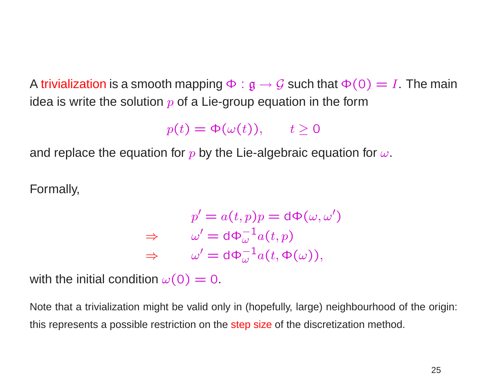A trivialization is a smooth mapping  $\Phi : \mathfrak{g} \to \mathcal{G}$  such that  $\Phi(0) = I$ . The main idea is write the solution  $p$  of a Lie-group equation in the form

 $p(t) = \Phi(\omega(t)), \quad t \geq 0$ 

and replace the equation for p by the Lie-algebraic equation for  $\omega$ .

Formally,

$$
p' = a(t, p)p = d\Phi(\omega, \omega')
$$
  
\n
$$
\Rightarrow \qquad \omega' = d\Phi_{\omega}^{-1} a(t, p)
$$
  
\n
$$
\Rightarrow \qquad \omega' = d\Phi_{\omega}^{-1} a(t, \Phi(\omega)),
$$

with the initial condition  $\omega(0) = 0$ .

Note that <sup>a</sup> trivialization might be valid only in (hopefully, large) neighbourhood of the origin: this represents <sup>a</sup> possible restriction on the step size of the discretization method.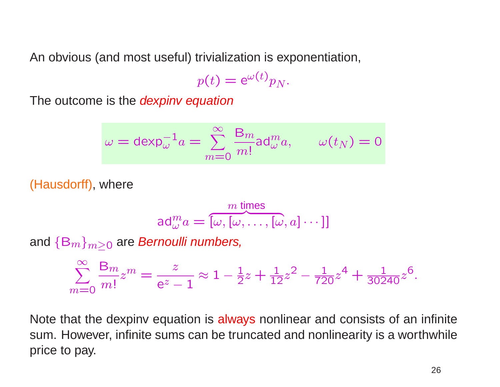An obvious (and most useful) trivialization is exponentiation,

$$
p(t) = e^{\omega(t)} p_N.
$$

The outcome is the *dexpinv equation* 

$$
\omega = \operatorname{dexp}_{\omega}^{-1} a = \sum_{m=0}^{\infty} \frac{\mathsf{B}_m}{m!} \operatorname{ad}_{\omega}^m a, \qquad \omega(t_N) = 0
$$

(Hausdorff), where

$$
\text{ad}_{\omega}^{m} a = \overbrace{[\omega, [\omega, \ldots, [\omega, a] \cdots]]}^{m \text{ times}}
$$

and  $\{\mathsf B_m\}_{m\geq 0}$  are *Bernoulli numbers,* 

$$
\sum_{m=0}^{\infty} \frac{B_m}{m!} z^m = \frac{z}{e^z - 1} \approx 1 - \frac{1}{2} z + \frac{1}{12} z^2 - \frac{1}{720} z^4 + \frac{1}{30240} z^6.
$$

Note that the dexpinv equation is always nonlinear and consists of an infinite sum. However, infinite sums can be truncated and nonlinearity is <sup>a</sup> worthwhile price to pay.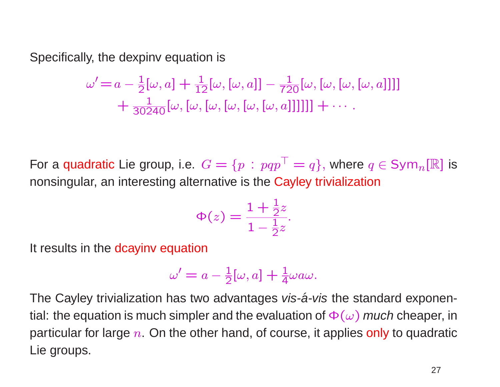Specifically, the dexpinv equation is

$$
\omega' = a - \frac{1}{2}[\omega, a] + \frac{1}{12}[\omega, [\omega, a]] - \frac{1}{720}[\omega, [\omega, [\omega, [\omega, a]]]]
$$

$$
+ \frac{1}{30240}[\omega, [\omega, [\omega, [\omega, [\omega, a]]]]]] + \cdots
$$

For a <mark>quadratic</mark> Lie group, i.e.  $G = \{p \,:\, pqp\}$  $\top = q\},$  where  $q \in \texttt{Sym}_n[\mathbb{R}]$  is nonsingular, an interesting alternative is the Cayley trivialization

$$
\Phi(z) = \frac{1 + \frac{1}{2}z}{1 - \frac{1}{2}z}.
$$

It results in the dcayinv equation

$$
\omega' = a - \frac{1}{2}[\omega, a] + \frac{1}{4}\omega a\omega.
$$

The Cayley trivialization has two advantages vis-a-vis the standard exponential: the equation is much simpler and the evaluation of  $\Phi(\omega)$  *much* cheaper, in particular for large  $n.$  On the other hand, of course, it applies only to quadratic Lie groups.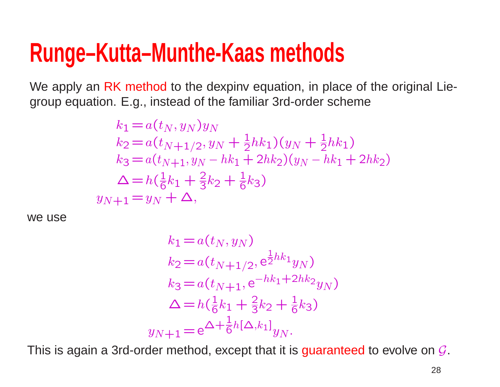# **Runge–Kutta–Munthe-Kaas methods**

We apply an RK method to the dexpiny equation, in place of the original Liegroup equation. E.g., instead of the familiar 3rd-order scheme

$$
k_1 = a(t_N, y_N)y_N
$$
  
\n
$$
k_2 = a(t_{N+1/2}, y_N + \frac{1}{2}hk_1)(y_N + \frac{1}{2}hk_1)
$$
  
\n
$$
k_3 = a(t_{N+1}, y_N - hk_1 + 2hk_2)(y_N - hk_1 + 2hk_2)
$$
  
\n
$$
\Delta = h(\frac{1}{6}k_1 + \frac{2}{3}k_2 + \frac{1}{6}k_3)
$$
  
\n
$$
y_{N+1} = y_N + \Delta,
$$

we use

$$
k_1 = a(t_N, y_N)
$$
  
\n
$$
k_2 = a(t_{N+1/2}, e^{\frac{1}{2}hk_1}y_N)
$$
  
\n
$$
k_3 = a(t_{N+1}, e^{-hk_1 + 2hk_2}y_N)
$$
  
\n
$$
\Delta = h(\frac{1}{6}k_1 + \frac{2}{3}k_2 + \frac{1}{6}k_3)
$$
  
\n
$$
y_{N+1} = e^{\Delta + \frac{1}{6}h[\Delta, k_1]}y_N.
$$

This is again a 3rd-order method, except that it is  ${\bf guaranteed}$  to evolve on  ${\mathcal G}.$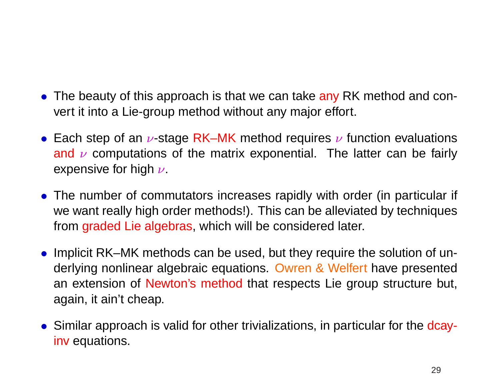- The beauty of this approach is that we can take any RK method and convert it into <sup>a</sup> Lie-group method without any major effort.
- Each step of an  $\nu$ -stage RK–MK method requires  $\nu$  function evaluations and  $\nu$  computations of the matrix exponential. The latter can be fairly expensive for high  $\nu$ .
- The number of commutators increases rapidly with order (in particular if we want really high order methods!). This can be alleviated by techniques from graded Lie algebras, which will be considered later.
- Implicit RK–MK methods can be used, but they require the solution of underlying nonlinear algebraic equations. Owren & Welfert have presented an extension of Newton's method that respects Lie group structure but, again, it ain't cheap.
- Similar approach is valid for other trivializations, in particular for the dcayinv equations.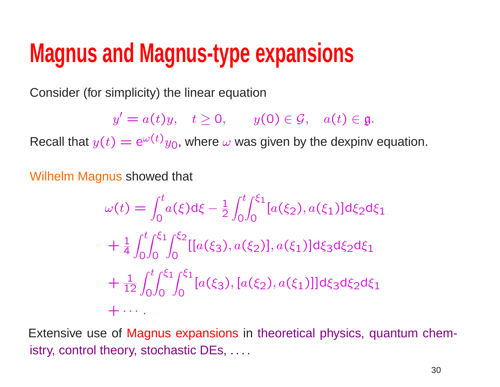# **Magnus and Magnus-type expansions**

Consider (for simplicity) the linear equation

 $y' = a(t)y, \quad t \ge 0, \qquad y(0) \in \mathcal{G}, \quad a(t) \in \mathfrak{g}.$ 

Recall that  $y(t)=\mathrm{e}^{\omega(t)}y_0$ , where  $\omega$  was given by the dexpinv equation.

Wilhelm Magnus showed that

$$
\omega(t) = \int_0^t a(\xi) d\xi - \frac{1}{2} \int_0^t \int_0^{\xi_1} [a(\xi_2), a(\xi_1)] d\xi_2 d\xi_1
$$
  
+  $\frac{1}{4} \int_0^t \int_0^{\xi_1} \int_0^{\xi_2} [[a(\xi_3), a(\xi_2)], a(\xi_1)] d\xi_3 d\xi_2 d\xi_1$   
+  $\frac{1}{12} \int_0^t \int_0^{\xi_1} \int_0^{\xi_1} [a(\xi_3), [a(\xi_2), a(\xi_1)]] d\xi_3 d\xi_2 d\xi_1$   
+  $\cdots$ 

Extensive use of Magnus expansions in theoretical physics, quantum chemistry, control theory, stochastic DEs, . . . .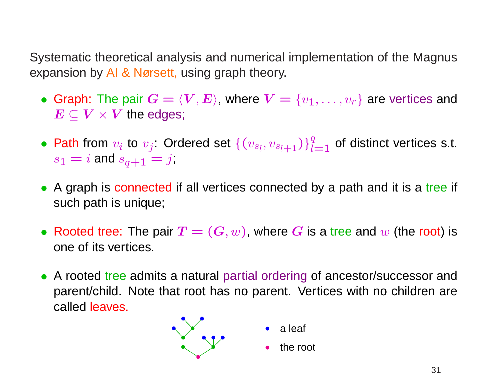Systematic theoretical analysis and numerical implementation of the Magnus expansion by AI & Nørsett, using graph theory.

- Graph: The pair  $G = \langle V, E \rangle$ , where  $V = \{v_1, \ldots, v_r\}$  are vertices and  $\bm{E} \subseteq \bm{V} \times \bm{V}$  the edges;
- Path from  $v_i$  to  $v_j$ : Ordered set  $\{(v_{s_l}, v_{s_{l+1}})\}_{l=1}^q$  of distinct vertices s.t.  $s_1 = i$  and  $s_{q+1}$  $\stackrel{\cdot}{=} j$
- A graph is connected if all vertices connected by a path and it is a tree if such path is unique;
- Rooted tree: The pair  $T=(G,w)$ , where G is a tree and w (the root) is one of its vertices.
- A rooted tree admits a natural partial ordering of ancestor/successor and parent/child. Note that root has no parent. Vertices with no children are called leaves.

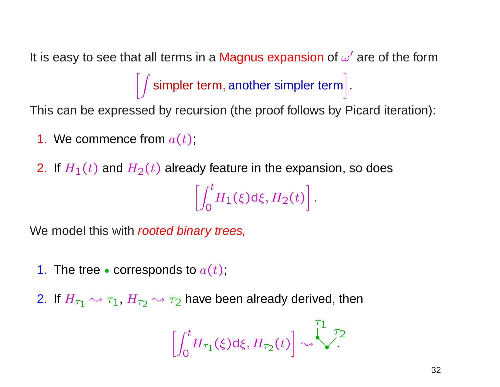It is easy to see that all terms in a Magnus expansion of  $\omega'$  are of the form  $\int$  simpler term, another simpler term .

This can be expressed by recursion (the proof follows by Picard iteration):

- **1.** We commence from  $a(t)$  ,
- 2. If  $H_1(t)$  and  $H_2(t)$  already feature in the expansion, so does

$$
\left[\int_0^t H_1(\xi) d\xi, H_2(t)\right].
$$

We model this with rooted binary trees,

- **1**. The tree  $\bullet$  corresponds to  $a(t)$  ;
- 2. If  $H_{\tau_1} \rightsquigarrow \tau_1$ ,  $H_{\tau_2} \rightsquigarrow \tau_2$  have been already derived, then

$$
\left[\int_0^t H_{\tau_1}(\xi) d\xi, H_{\tau_2}(t)\right] \rightsquigarrow \stackrel{\tau_1}{\underbrace{\left(\int_0^T \tau_2 d\xi\right)}}.
$$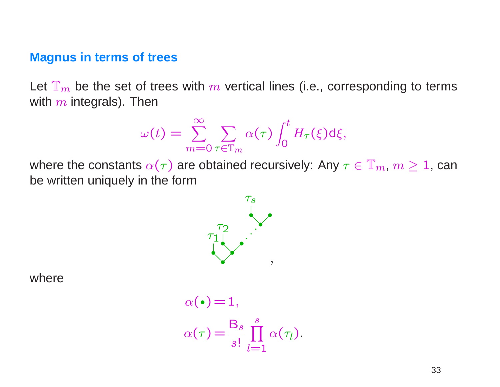#### **Magnus in terms of trees**

Let  $\mathbb{T}_m$  be the set of trees with m vertical lines (i.e., corresponding to terms with  $m$  integrals). Then

$$
\omega(t) = \sum_{m=0}^{\infty} \sum_{\tau \in \mathbb{T}_m} \alpha(\tau) \int_0^t H_{\tau}(\xi) d\xi,
$$

where the constants  $\alpha(\tau)$  are obtained recursively: Any  $\tau \in \mathbb{T}_m$ ,  $m \geq 1$ , can be written uniquely in the form



where

$$
\alpha(\bullet) = 1,
$$
  
\n
$$
\alpha(\tau) = \frac{B_s}{s!} \prod_{l=1}^s \alpha(\tau_l).
$$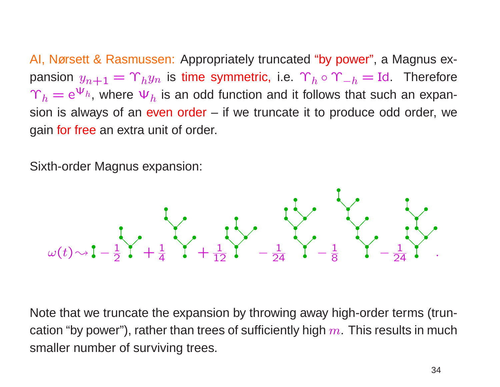AI, Nørsett & Rasmussen: Appropriately truncated "by power", <sup>a</sup> Magnus expansion  $y_{n+1} = \Upsilon_h y_n$  is time symmetric, i.e.  $\Upsilon_h \circ \Upsilon_{-h} = \text{Id}$ . Therefore  $\Upsilon_h = e^{\Psi_h}$ , where  $\Psi_h$  is an odd function and it follows that such an expansion is always of an even order  $-$  if we truncate it to produce odd order, we gain for free an extra unit of order.

Sixth-order Magnus expansion:



Note that we truncate the expansion by throwing away high-order terms (truncation "by power"), rather than trees of sufficiently high  $m$ . This results in much smaller number of surviving trees.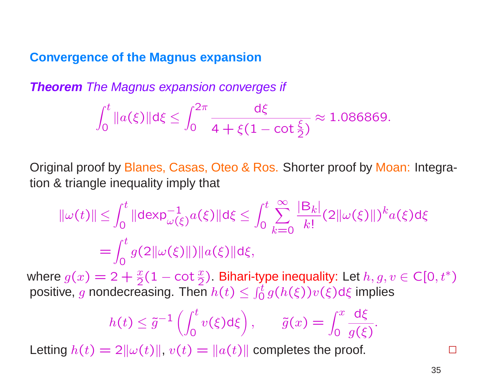#### **Convergence of the Magnus expansion**

**Theorem** The Magnus expansion converges if

$$
\int_0^t \|a(\xi)\| d\xi \leq \int_0^{2\pi} \frac{d\xi}{4 + \xi(1 - \cot \frac{\xi}{2})} \approx 1.086869.
$$

Original proof by Blanes, Casas, Oteo & Ros. Shorter proof by Moan: Integration & triangle inequality imply that

$$
\|\omega(t)\| \le \int_0^t \|\text{dexp}_{\omega(\xi)}^{-1} a(\xi)\| \text{d}\xi \le \int_0^t \sum_{k=0}^\infty \frac{|B_k|}{k!} (2\|\omega(\xi)\|)^k a(\xi) \text{d}\xi
$$
  
= 
$$
\int_0^t g(2\|\omega(\xi)\|) \|a(\xi)\| \text{d}\xi,
$$

where  $g(x)=2+\frac{x}{2}(1-\cot\frac{x}{2})$  $\left(\frac{x}{2}\right)$ . Bihari-type inequality: Let  $h,g,v\in\mathsf{C}[0,t^*)$ positive, g nondecreasing. Then  $h(t) \leq \int_0^t$  $\int_0^t g(h(\xi)) v(\xi) \mathsf{d} \xi$  implies

$$
h(t) \leq \tilde{g}^{-1}\left(\int_0^t v(\xi) d\xi\right), \qquad \tilde{g}(x) = \int_0^x \frac{d\xi}{g(\xi)}.
$$

Letting  $h(t) = 2\|\omega(t)\|$ ,  $v(t) = \|a(t)\|$  completes the proof.

 $\mathbf{I}$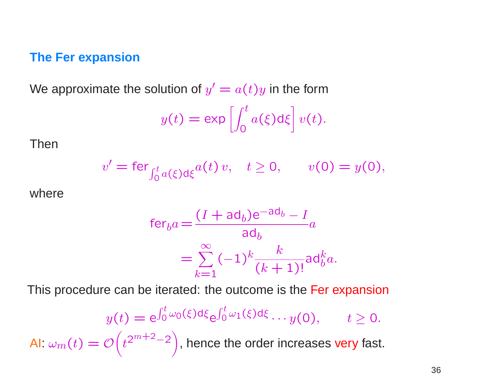#### **The Fer expansion**

We approximate the solution of  $y' = a(t)y$  in the form

$$
y(t) = \exp\left[\int_0^t a(\xi) d\xi\right] v(t).
$$

Then

$$
v' = \text{fer}_{\int_0^t a(\xi) d\xi} a(t) v, \quad t \ge 0, \qquad v(0) = y(0),
$$

where

$$
\begin{aligned} \text{fer}_{b}a &= \frac{(I + \text{ad}_{b})\text{e}^{-\text{ad}_{b}} - I}{\text{ad}_{b}} a \\ &= \sum_{k=1}^{\infty} (-1)^{k} \frac{k}{(k+1)!} \text{ad}_{b}^{k} a. \end{aligned}
$$

This procedure can be iterated: the outcome is the Fer expansion

$$
y(t) = e^{\int_0^t \omega_0(\xi) d\xi} e^{\int_0^t \omega_1(\xi) d\xi} \cdots y(0), \qquad t \ge 0.
$$
  
Al:  $\omega_m(t) = \mathcal{O}\left(t^{2^{m+2}-2}\right)$ , hence the order increases very fast.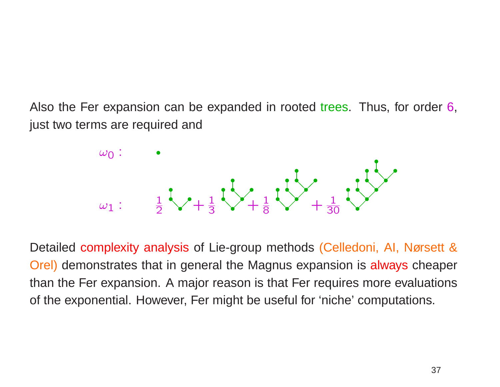Also the Fer expansion can be expanded in rooted trees. Thus, for order 6, just two terms are required and



Detailed complexity analysis of Lie-group methods (Celledoni, AI, Nørsett & Orel) demonstrates that in general the Magnus expansion is always cheaper than the Fer expansion. A major reason is that Fer requires more evaluations of the exponential. However, Fer might be useful for 'niche' computations.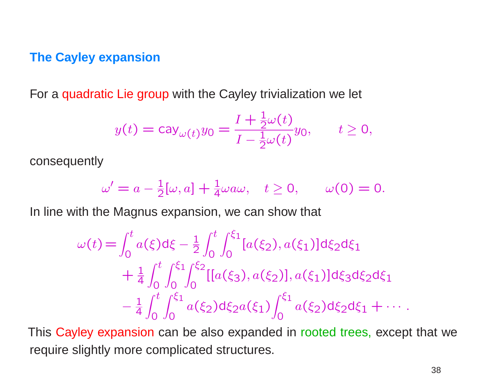#### **The Cayley expansion**

For <sup>a</sup> quadratic Lie group with the Cayley trivialization we let

$$
y(t) = \text{cay}_{\omega(t)} y_0 = \frac{I + \frac{1}{2}\omega(t)}{I - \frac{1}{2}\omega(t)} y_0, \qquad t \ge 0,
$$

consequently

$$
\omega' = a - \frac{1}{2}[\omega, a] + \frac{1}{4}\omega a\omega, \quad t \ge 0, \qquad \omega(0) = 0.
$$

In line with the Magnus expansion, we can show that

$$
\omega(t) = \int_0^t a(\xi) d\xi - \frac{1}{2} \int_0^t \int_0^{\xi_1} [a(\xi_2), a(\xi_1)] d\xi_2 d\xi_1 \n+ \frac{1}{4} \int_0^t \int_0^{\xi_1} \int_0^{\xi_2} [[a(\xi_3), a(\xi_2)], a(\xi_1)] d\xi_3 d\xi_2 d\xi_1 \n- \frac{1}{4} \int_0^t \int_0^{\xi_1} a(\xi_2) d\xi_2 a(\xi_1) \int_0^{\xi_1} a(\xi_2) d\xi_2 d\xi_1 + \cdots
$$

This Cayley expansion can be also expanded in rooted trees, except that we require slightly more complicated structures.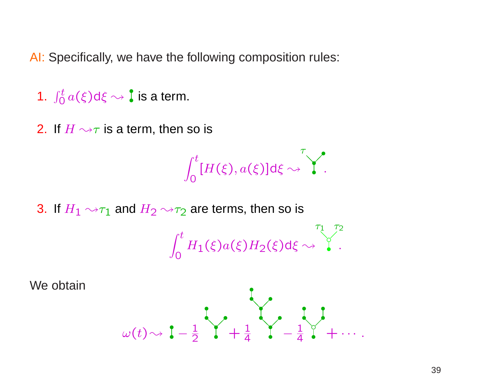AI: Specifically, we have the following composition rules:

- 1.  $\int_{0}^{t}$  $\frac{\partial^4 f}{\partial t^2} a(\xi) \textsf{d} \xi \rightsquigarrow \textbf{I}$  is a term.
- 2. If  $H \rightsquigarrow \tau$  is a term, then so is

$$
\int_0^t [H(\xi), a(\xi)] \mathrm{d}\xi \sim \int_0^{\tau}.
$$

3. If  $H_1 \rightarrow \tau_1$  and  $H_2 \rightarrow \tau_2$  are terms, then so is

$$
\int_0^t H_1(\xi) a(\xi) H_2(\xi) d\xi \rightsquigarrow \int_0^{\tau_1} \int_0^{\tau_2}.
$$

We obtain

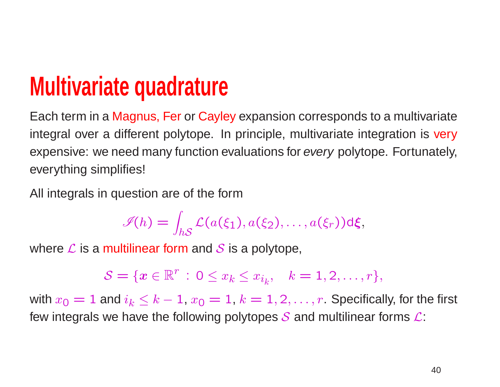# **Multivariate quadrature**

Each term in <sup>a</sup> Magnus, Fer or Cayley expansion corresponds to <sup>a</sup> multivariate integral over a different polytope. In principle, multivariate integration is very expensive: we need many function evaluations for every polytope. Fortunately, everything simplifies!

All integrals in question are of the form

$$
\mathscr{I}(h) = \int_{hS} \mathcal{L}(a(\xi_1), a(\xi_2), \dots, a(\xi_r)) \, d\xi,
$$

where  $\boldsymbol{\mathcal{L}}$  is a multilinear form and  $\boldsymbol{\mathcal{S}}$  is a polytope,

$$
S = \{x \in \mathbb{R}^r : 0 \le x_k \le x_{i_k}, \quad k = 1, 2, \dots, r\},\
$$

with  $x_{\mathsf{O}}=1$  and  $i_k\leq k-1$ ,  $x_{\mathsf{O}}=1$ ,  $k=1,2,\ldots,r.$  Specifically, for the first few integrals we have the following polytopes  ${\cal S}$  and multilinear forms  ${\cal L}$ :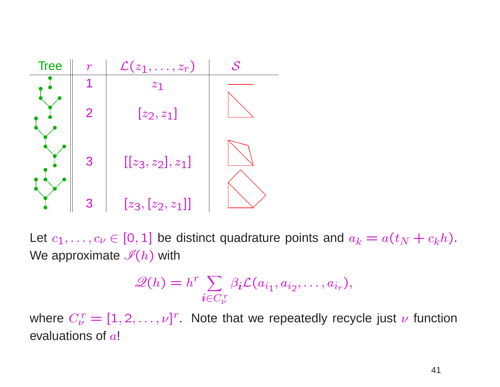

Let  $c_1, \ldots, c_{\nu} \in [0, 1]$  be distinct quadrature points and  $a_k = a(t_N + c_k h)$ . We approximate  $\mathscr{I}(h)$  with

$$
\mathscr{Q}(h) = h^r \sum_{\mathbf{i} \in C_{\nu}^r} \beta_{\mathbf{i}} \mathcal{L}(a_{i_1}, a_{i_2}, \dots, a_{i_r}),
$$

where  $C_{\nu}^r = [1, 2, ..., \nu]^r$ . Note that we repeatedly recycle just  $\nu$  function evaluations of  $a!$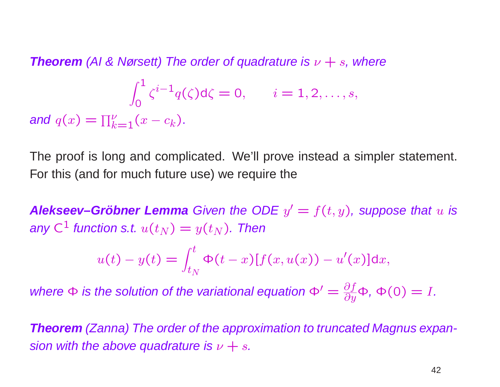**Theorem** (AI & Nørsett) The order of quadrature is  $\nu + s$ , where  $\int_0^1$ 0  $\zeta^{i-1}$  $q(\zeta)$ d $\zeta=0, \qquad i=1,2,\ldots,s,$ and  $q(x)=\prod$ ν  $_{k=1}^\nu (x-c_k).$ 

The proof is long and complicated. We'll prove instead <sup>a</sup> simpler statement. For this (and for much future use) we require the

**Alekseev–Gröbner Lemma** Given the ODE  $y' = f(t, y)$ , suppose that u is any C $^1$  function s.t.  $u(t_N)=y(t_N).$  Then

$$
u(t) - y(t) = \int_{t_N}^t \Phi(t - x) [f(x, u(x)) - u'(x)] dx,
$$

where  $\Phi$  is the solution of the variational equation  $\Phi' = \frac{\partial f}{\partial y} \Phi$ ,  $\Phi(0) = I.$ 

**Theorem** (Zanna) The order of the approximation to truncated Magnus expansion with the above quadrature is  $\nu + s$ .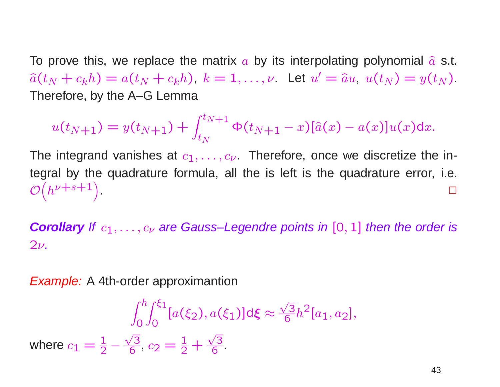To prove this, we replace the matrix  $a$  by its interpolating polynomial  $\widehat{a}$  s.t.  $\hat{a}(t_N + c_k h) = a(t_N + c_k h), k = 1,..., \nu$  Let  $u' = \hat{a}u, u(t_N) = y(t_N)$ . Therefore, by the A–G Lemma

$$
u(t_{N+1}) = y(t_{N+1}) + \int_{t_N}^{t_{N+1}} \Phi(t_{N+1} - x)[\hat{a}(x) - a(x)]u(x)dx.
$$

The integrand vanishes at  $c_1,\ldots,c_\nu$  . Therefore, once we discretize the integral by the quadrature formula, all the is left is the quadrature error, i.e.  $\overline{\mathcal{O}}$ y<br>(  $h^{\nu+s+1}$  $\left(\begin{array}{c} 1 \ 1 \end{array}\right)$ . The contract of the contract of the contract of the contract of the contract of the contract of the contract of the contract of the contract of the contract of the contract of the contract of the contract of the contrac

**Corollary** If  $c_1, \ldots, c_\nu$  are Gauss–Legendre points in  $[0,1]$  then the order is  $2\nu$  .

**Example:** A 4th-order approximantion

$$
\int_0^h \int_0^{\xi_1} [a(\xi_2), a(\xi_1)] d\xi \approx \frac{\sqrt{3}}{6} h^2 [a_1, a_2],
$$
  
where  $c_1 = \frac{1}{2} - \frac{\sqrt{3}}{6}, c_2 = \frac{1}{2} + \frac{\sqrt{3}}{6}$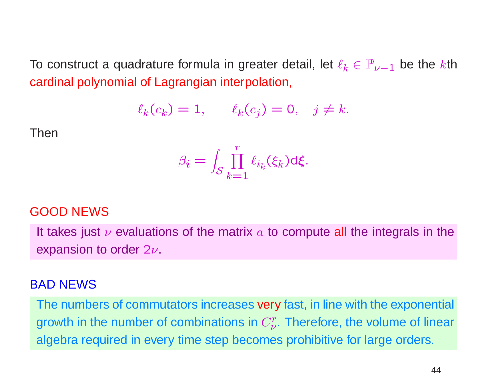To construct a quadrature formula in greater detail, let  $\ell_k \in \mathbb{P}_{\nu-1}$  be the  $k$ th cardinal polynomial of Lagrangian interpolation,

$$
\ell_k(c_k) = 1, \qquad \ell_k(c_j) = 0, \quad j \neq k.
$$

Then

$$
\beta_{\boldsymbol{i}} = \int_{\mathcal{S}} \prod_{k=1}^r \ell_{i_k}(\xi_k) \mathrm{d} \xi.
$$

#### GOOD NEWS

It takes just  $\nu$  evaluations of the matrix  $a$  to compute all the integrals in the expansion to order  $2\nu$ .

#### BAD NEWS

The numbers of commutators increases very fast, in line with the exponential growth in the number of combinations in  $C_{\nu}^{r}.$  Therefore, the volume of linear algebra required in every time step becomes prohibitive for large orders.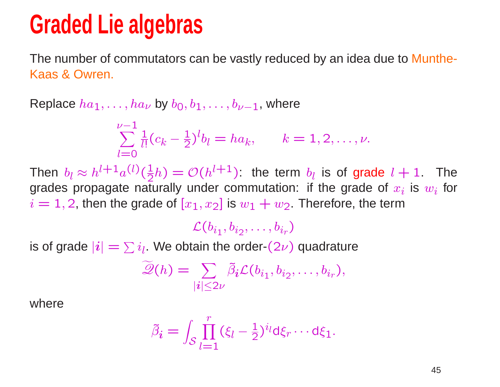# **Graded Lie algebras**

The number of commutators can be vastly reduced by an idea due to Munthe-Kaas & Owren.

Replace  $ha_1, \ldots, ha_{\nu}$  by  $b_0, b_1, \ldots, b_{\nu-1}$ , where

$$
\sum_{l=0}^{\nu-1} \frac{1}{l!} (c_k - \frac{1}{2})^l b_l = h a_k, \qquad k = 1, 2, \dots, \nu.
$$

Then  $b_l \approx h^{l+1}a^{(l)}(\frac{1}{2}h) = \mathcal{O}(h^{l+1})$ : the term  $b_l$  is of grade  $l+1$ . The grades propagate naturally under commutation: if the grade of  $x_i$  is  $w_i$  for  $i = 1, 2$ , then the grade of  $[x_1, x_2]$  is  $w_1 + w_2$ . Therefore, the term

 $\mathcal{L}(b_{i_1}, b_{i_2}, \ldots, b_{i_r})$ 

is of grade  $|\boldsymbol{i}|=\sum i_l$ . We obtain the order- $(2\nu)$  quadrature

$$
\widetilde{\mathscr{Q}}(h) = \sum_{|i| \leq 2\nu} \widetilde{\beta}_i \mathcal{L}(b_{i_1}, b_{i_2}, \dots, b_{i_r}),
$$

where

$$
\tilde{\beta}_i = \int_{\mathcal{S}} \prod_{l=1}^r (\xi_l - \frac{1}{2})^{i_l} d\xi_r \cdots d\xi_1.
$$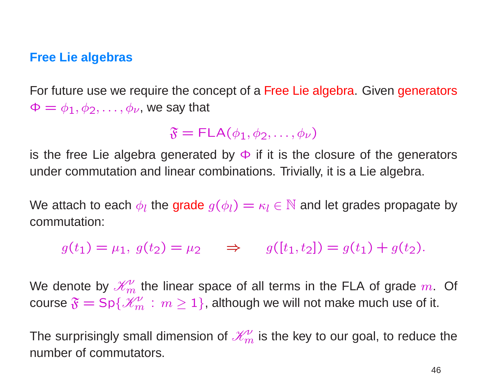#### **Free Lie algebras**

For future use we require the concept of <sup>a</sup> Free Lie algebra. Given generators  $\Phi = \phi_1, \phi_2, \dots, \phi_{\nu}$ , we say that

 $\mathfrak{F} = \mathsf{FLA}(\phi_1, \phi_2, \dots, \phi_\nu)$ 

is the free Lie algebra generated by  $\Phi$  if it is the closure of the generators under commutation and linear combinations. Trivially, it is <sup>a</sup> Lie algebra.

We attach to each  $\phi_l$  the grade  $g(\phi_l) = \kappa_l \in \mathbb{N}$  and let grades propagate by commutation:

 $g(t_1) = \mu_1, g(t_2) = \mu_2 \implies g([t_1, t_2]) = g(t_1) + g(t_2).$ 

We denote by  $\mathcal{K}^{\nu}_{m}$  the linear space of all terms in the FLA of grade m. Of course  $\mathfrak{F} = \mathsf{Sp}\{\mathscr{K}_m^\nu : m \ge 1\}$ , although we will not make much use of it.

The surprisingly small dimension of  $\mathcal{K}_m^{\mathcal{V}}$  is the key to our goal, to reduce the number of commutators.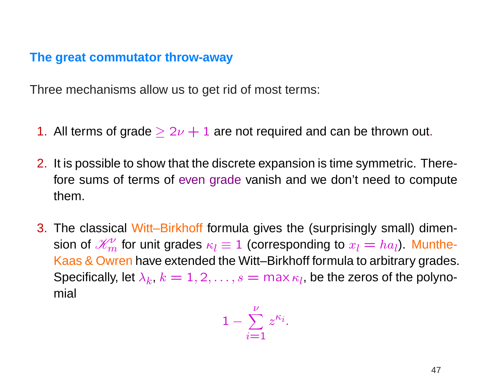#### **The great commutator throw-away**

Three mechanisms allow us to get rid of most terms:

- 1. All terms of grade  $\geq 2\nu+1$  are not required and can be thrown out.
- 2. It is possible to show that the discrete expansion is time symmetric. Therefore sums of terms of even grade vanish and we don't need to compute them.
- 3. The classical Witt–Birkhoff formula gives the (surprisingly small) dimension of  $\mathscr{K}^\nu_m$  for unit grades  $\kappa_l\equiv 1$  (corresponding to  $x_l=ha_l)$ . Munthe-Kaas & Owren have extended the Witt–Birkhoff formula to arbitrary grades. Specifically, let  $\lambda_k$ ,  $k=1,2,\ldots,s=$  max  $\kappa_l$ , be the zeros of the polynomial

$$
1-\sum_{i=1}^{\nu}z^{\kappa_i}.
$$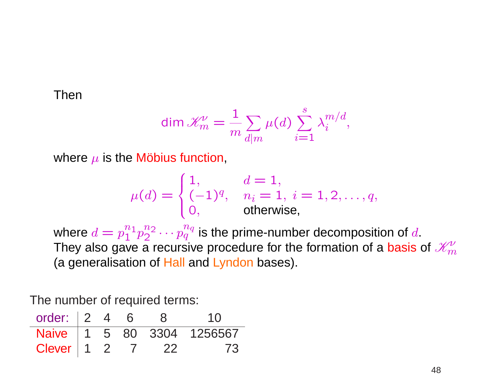1. Then

$$
\dim \mathcal{K}_m' = \frac{1}{m} \sum_{d|m} \mu(d) \sum_{i=1}^s \lambda_i^{m/d},
$$

where  $\mu$  is the Möbius function,

$$
\mu(d) = \begin{cases} 1, & d = 1, \\ (-1)^q, & n_i = 1, i = 1, 2, \dots, q, \\ 0, & \text{otherwise,} \end{cases}
$$

where  $d = p_1^{n_1} p_2^{n_2} \cdots p_q^{n_q}$  is the prime-number decomposition of d. They also gave a recursive procedure for the formation of a basis of  $\mathcal{K}^{\nu}_{m}$ (a generalisation of Hall and Lyndon bases).

The number of required terms:

| order: $\begin{array}{ccc} 2 & 4 & 6 \end{array}$ |  |      | 1 <sub>0</sub>            |
|---------------------------------------------------|--|------|---------------------------|
|                                                   |  |      | Naive 1 5 80 3304 1256567 |
| Clever   1 2 7                                    |  | - 77 | -73                       |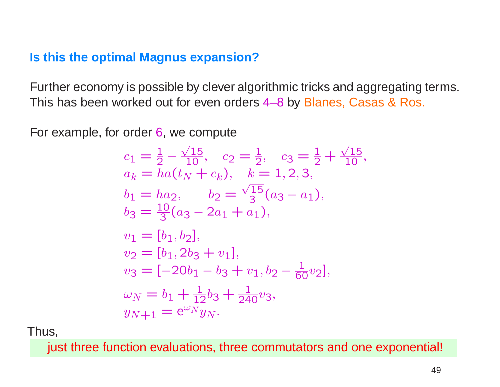### **Is this the optimal Magnus expansion?**

Further economy is possible by clever algorithmic tricks and aggregating terms. This has been worked out for even orders 4–8 by Blanes, Casas & Ros.

For example, for order 6, we compute

$$
c_1 = \frac{1}{2} - \frac{\sqrt{15}}{10}, \quad c_2 = \frac{1}{2}, \quad c_3 = \frac{1}{2} + \frac{\sqrt{15}}{10}
$$
  
\n
$$
a_k = ha(t_N + c_k), \quad k = 1, 2, 3,
$$
  
\n
$$
b_1 = ha_2, \quad b_2 = \frac{\sqrt{15}}{3}(a_3 - a_1),
$$
  
\n
$$
b_3 = \frac{10}{3}(a_3 - 2a_1 + a_1),
$$
  
\n
$$
v_1 = [b_1, b_2],
$$
  
\n
$$
v_2 = [b_1, 2b_3 + v_1],
$$
  
\n
$$
v_3 = [-20b_1 - b_3 + v_1, b_2 - \frac{1}{60}v_2],
$$
  
\n
$$
\omega_N = b_1 + \frac{1}{12}b_3 + \frac{1}{240}v_3,
$$
  
\n
$$
y_{N+1} = e^{\omega_N}y_N.
$$

Thus,

just three function evaluations, three commutators and one exponential!

,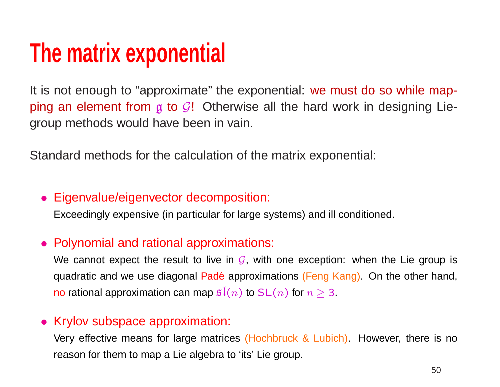# **The matrix exponential**

It is not enough to "approximate" the exponential: we must do so while mapping an element from  $g$  to  $\mathcal{G}!$  Otherwise all the hard work in designing Liegroup methods would have been in vain.

Standard methods for the calculation of the matrix exponential:

#### • Eigenvalue/eigenvector decomposition:

Exceedingly expensive (in particular for large systems) and ill conditioned.

### • Polynomial and rational approximations:

We cannot expect the result to live in  $\mathcal G,$  with one exception: when the Lie group is quadratic and we use diagonal Padé approximations (Feng Kang). On the other hand, no rational approximation can map  $\mathfrak{sl}(n)$  to  $\mathsf{SL}(n)$  for  $n\geq 3.$ 

#### • Krylov subspace approximation:

Very effective means for large matrices (Hochbruck & Lubich). However, there is no reason for them to map <sup>a</sup> Lie algebra to 'its' Lie group.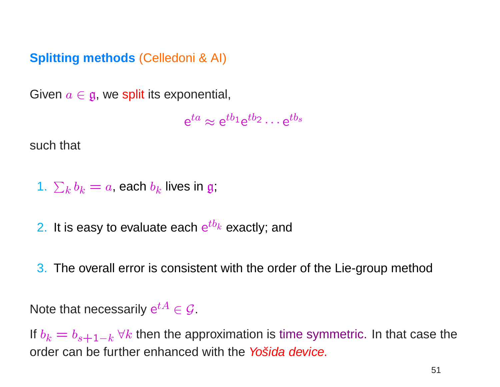# **Splitting methods** (Celledoni & AI)

Given  $a \in \mathfrak{g}$ , we split its exponential,

 $e^{ta} \approx e^{tb_1}e^{tb_2} \cdots e^{tb_s}$ 

such that

1.  $\sum_k b_k = a$ , each  $b_k$  lives in g;

2. It is easy to evaluate each  $e^{tb_k}$  exactly; and

3. The overall error is consistent with the order of the Lie-group method

Note that necessarily  $e^{tA} \in \mathcal{G}$ .

If  $b_k = b_{s+1-k}$   $\forall k$  then the approximation is time symmetric. In that case the order can be further enhanced with the Yosida device.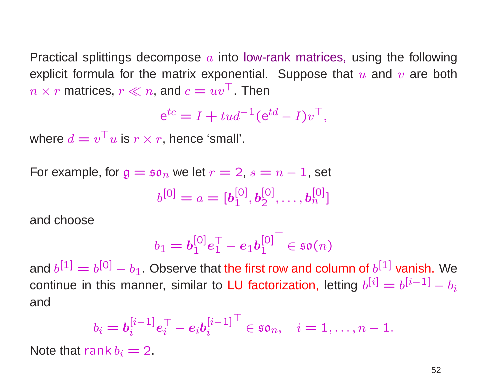Practical splittings decompose  $a$  into low-rank matrices, using the following explicit formula for the matrix exponential. Suppose that  $u$  and  $v$  are both  $n \times r$  matrices,  $r \ll n$ , and  $c = uv^\top$ . Then

$$
e^{tc} = I + tud^{-1}(e^{td} - I)v^{\top},
$$

where  $d = v^\top u$  is  $r \times r$ , hence 'small'.

For example, for  $g = s \mathfrak{o}_n$  we let  $r = 2$ ,  $s = n - 1$ , set

$$
b^{[0]} = a = [b_1^{[0]}, b_2^{[0]}, \dots, b_n^{[0]}]
$$

and choose

$$
b_1=\boldsymbol{b_1^{[0]}} \boldsymbol{e}_1^\top - \boldsymbol{e}_1 \boldsymbol{b_1^{[0]}}^\top \in \mathfrak{so}(n)
$$

and  $b^{[1]} = b^{[0]} - b_1$ . Observe that the first row and column of  $b^{[1]}$  vanish. We continue in this manner, similar to LU factorization, letting  $b^{[i]} = b^{[i-1]} - b_i$ and

$$
b_i = \boldsymbol{b}_i^{[i-1]} \boldsymbol{e}_i^\top - \boldsymbol{e}_i \boldsymbol{b}_i^{[i-1]}^\top \in \mathfrak{so}_n, \quad i = 1, \ldots, n-1.
$$

Note that rank  $b_i = 2$ .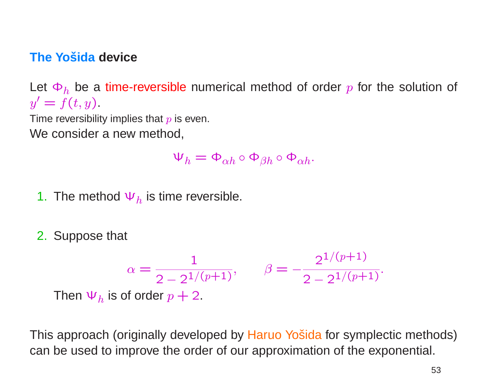### **The Yošida device**

Let  $\Phi_h$  be a time-reversible numerical method of order p for the solution of  $y' = f(t, y)$ .

Time reversibility implies that  $p$  is even.

We consider <sup>a</sup> new method,

$$
\Psi_h = \Phi_{\alpha h} \circ \Phi_{\beta h} \circ \Phi_{\alpha h}.
$$

- 1. The method  $\Psi_h$  is time reversible.
- 2. Suppose that

$$
\alpha = \frac{1}{2 - 2^{1/(p+1)}}, \qquad \beta = -\frac{2^{1/(p+1)}}{2 - 2^{1/(p+1)}}.
$$
  
Then  $\Psi_h$  is of order  $p + 2$ .

This approach (originally developed by Haruo Yošida for symplectic methods) can be used to improve the order of our approximation of the exponential.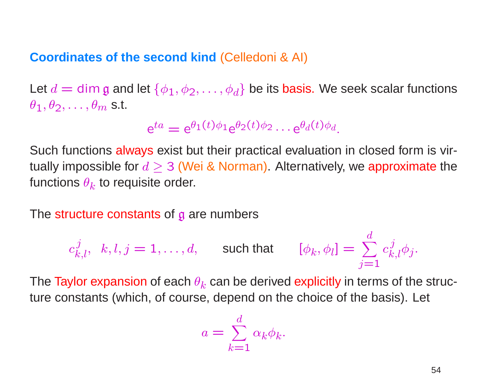#### **Coordinates of the second kind** (Celledoni & AI)

Let  $d=\dim \mathfrak{g}$  and let  $\{\phi_1, \phi_2, \ldots, \phi_d\}$  be its basis. We seek scalar functions  $\theta_1, \theta_2, \ldots, \theta_m$  s.t.

$$
e^{ta} = e^{\theta_1(t)\phi_1}e^{\theta_2(t)\phi_2}\cdots e^{\theta_d(t)\phi_d}.
$$

Such functions always exist but their practical evaluation in closed form is virtually impossible for  $d\geq 3$  (Wei & Norman). Alternatively, we approximate the functions  $\theta_k$  to requisite order.

The structure constants of g are numbers

$$
c_{k,l}^j, \ \ k,l,j=1,\ldots,d, \qquad \text{such that} \qquad [\phi_k,\phi_l] = \sum_{j=1}^d c_{k,l}^j \phi_j.
$$

The Taylor expansion of each  $\theta_k$  can be derived explicitly in terms of the structure constants (which, of course, depend on the choice of the basis). Let

$$
a = \sum_{k=1}^{d} \alpha_k \phi_k.
$$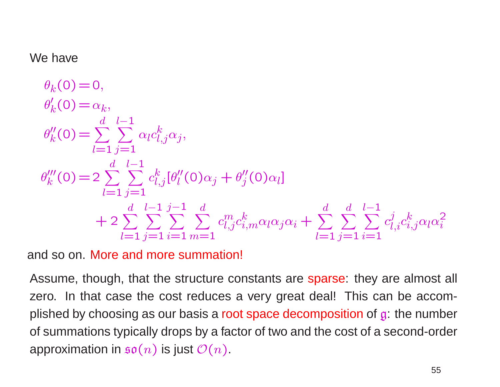#### We have

$$
\theta'_{k}(0) = 0,
$$
  
\n
$$
\theta'_{k}(0) = \alpha_{k},
$$
  
\n
$$
\theta''_{k}(0) = \sum_{l=1}^{d} \sum_{j=1}^{l-1} \alpha_{l} c_{l,j}^{k} \alpha_{j},
$$
  
\n
$$
\theta'''_{k}(0) = 2 \sum_{l=1}^{d} \sum_{j=1}^{l-1} c_{l,j}^{k} [\theta''_{l}(0)\alpha_{j} + \theta''_{j}(0)\alpha_{l}] + 2 \sum_{l=1}^{d} \sum_{j=1}^{l-1} \sum_{i=1}^{j-1} \sum_{m=1}^{d} c_{l,j}^{m} c_{i,m}^{k} \alpha_{l} \alpha_{j} \alpha_{i} + \sum_{l=1}^{d} \sum_{j=1}^{l-1} \sum_{i=1}^{d} c_{l,i}^{j} c_{i,j}^{k} \alpha_{l} \alpha_{i}^{2}
$$

and so on. More and more summation!

Assume, though, that the structure constants are sparse: they are almost all zero. In that case the cost reduces <sup>a</sup> very great deal! This can be accomplished by choosing as our basis a root space decomposition of  $\mathfrak{g}$ : the number of summations typically drops by <sup>a</sup> factor of two and the cost of <sup>a</sup> second-order approximation in  $\mathfrak{so}(n)$  is just  $\mathcal{O}(n)$ .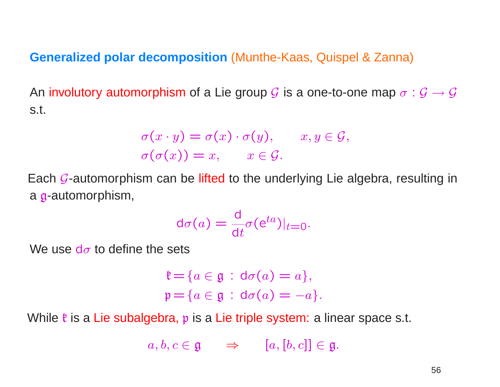#### **Generalized polar decomposition** (Munthe-Kaas, Quispel & Zanna)

An involutory automorphism of a Lie group  $\mathcal G$  is a one-to-one map  $\sigma:\mathcal G\to\mathcal G$ s.t.

$$
\sigma(x \cdot y) = \sigma(x) \cdot \sigma(y), \qquad x, y \in \mathcal{G},
$$
  

$$
\sigma(\sigma(x)) = x, \qquad x \in \mathcal{G}.
$$

Each *G*-automorphism can be lifted to the underlying Lie algebra, resulting in a **g**-automorphism,

$$
d\sigma(a) = \frac{d}{dt}\sigma(e^{ta})|_{t=0}.
$$

We use d $\sigma$  to define the sets

$$
\mathfrak{k} = \{ a \in \mathfrak{g} \, : \, \text{d}\sigma(a) = a \},
$$
\n
$$
\mathfrak{p} = \{ a \in \mathfrak{g} \, : \, \text{d}\sigma(a) = -a \}.
$$

While  $\frak k$  is a Lie subalgebra,  $\frak p$  is a Lie triple system: a linear space s.t.

$$
a, b, c \in \mathfrak{g} \qquad \Rightarrow \qquad [a, [b, c]] \in \mathfrak{g}.
$$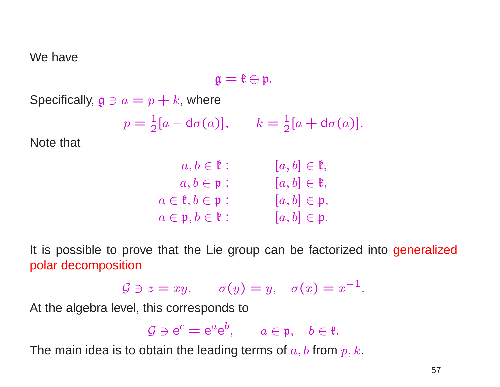We have

$$
\mathfrak{g}=\mathfrak{k}\oplus\mathfrak{p}.
$$

Specifically,  $\mathfrak{g} \ni a = p + k$ , where

$$
p = \frac{1}{2}[a - d\sigma(a)], \qquad k = \frac{1}{2}[a + d\sigma(a)].
$$

Note that

| $a, b \in \mathfrak{k}$ :                  | $[a, b] \in \mathfrak{k},$ |
|--------------------------------------------|----------------------------|
| $a, b \in \mathfrak{p}$ :                  | $[a, b] \in \mathfrak{k},$ |
| $a \in \mathfrak{k}, b \in \mathfrak{p}$ : | $[a, b] \in \mathfrak{p},$ |
| $a \in \mathfrak{p}, b \in \mathfrak{k}$ : | $[a, b] \in \mathfrak{p}.$ |

It is possible to prove that the Lie group can be factorized into generalized polar decomposition

$$
\mathcal{G} \ni z = xy, \qquad \sigma(y) = y, \quad \sigma(x) = x^{-1}.
$$

At the algebra level, this corresponds to

 $\mathcal{G} \ni e^c = e^a e^b$ ,  $a \in \mathfrak{p}$ ,  $b \in \mathfrak{k}$ .

The main idea is to obtain the leading terms of  $a, b$  from  $p, k$ .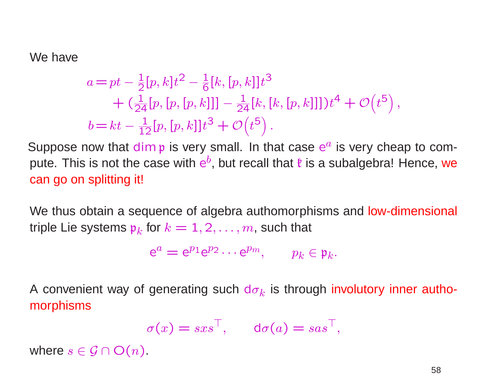We have

$$
a = pt - \frac{1}{2} [p, k] t^2 - \frac{1}{6} [k, [p, k]] t^3 + (\frac{1}{24} [p, [p, [p, k]]] - \frac{1}{24} [k, [k, [p, k]]]) t^4 + \mathcal{O}(t^5), b = kt - \frac{1}{12} [p, [p, k]] t^3 + \mathcal{O}(t^5).
$$

Suppose now that dim p is very small. In that case  $e^a$  is very cheap to compute. This is not the case with  $e^b$ , but recall that  $\ell$  is a subalgebra! Hence, we can go on splitting it!

We thus obtain a sequence of algebra authomorphisms and low-dimensional triple Lie systems  $p_k$  for  $k = 1, 2, ..., m$ , such that

$$
e^a = e^{p_1}e^{p_2}\cdots e^{p_m}, \qquad p_k \in \mathfrak{p}_k.
$$

A convenient way of generating such  $d\sigma_k$  is through involutory inner authomorphisms

$$
\sigma(x) = sxs^\top, \quad \mathsf{d}\sigma(a) = sas^\top,
$$

where  $s \in \mathcal{G} \cap O(n)$ .